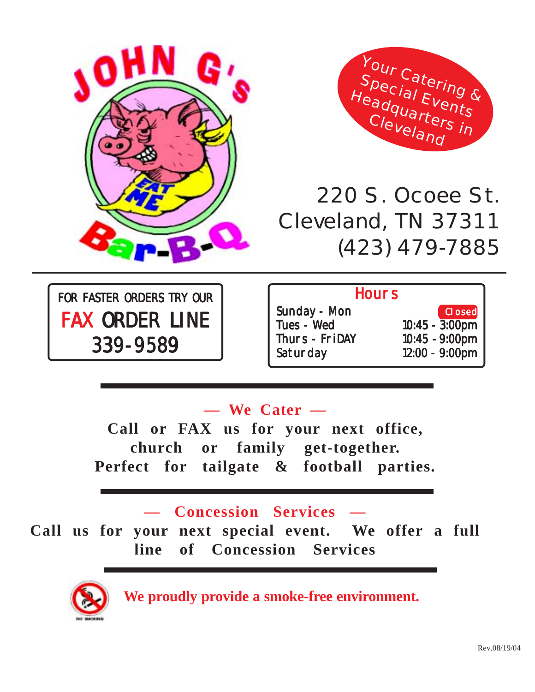



# 220 S. Ocoee St. Cleveland, TN 37311 (423) 479-7885

FOR FASTER ORDERS TRY OUR FAX ORDER LINE 339-9589 339-9589

#### **Hours**

- Sunday Mon Closed Tues - Wed 10:45 - 3:00pm Thurs - FriDAY 10:45 - 9:00pm Saturday 12:00 - 9:00pm
	-

### **— We Cater —**

**Call or FAX us for your next office, church or family get-together. Perfect for tailgate & football parties.**

#### **— Concession Services —**

**Call us for your next special event. We offer a full line of Concession Services**



**We proudly provide a smoke-free environment.**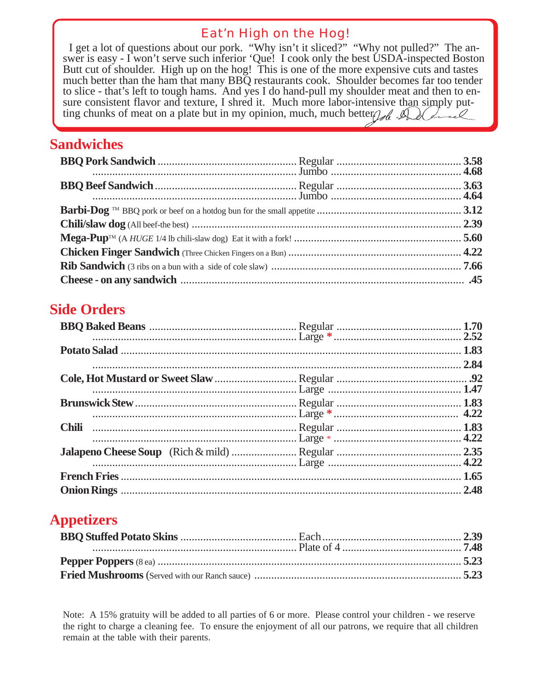#### Eat'n High on the Hog!

I get a lot of questions about our pork. "Why isn't it sliced?" "Why not pulled?" The answer is easy - I won't serve such inferior 'Que! I cook only the best USDA-inspected Boston Butt cut of shoulder. High up on the hog! This is one of the more expensive cuts and tastes much better than the ham that many BBQ restaurants cook. Shoulder becomes far too tender to slice - that's left to tough hams. And yes I do hand-pull my shoulder meat and then to ensure consistent flavor and texture, I shred it. Much more labor-intensive than simply putting chunks of meat on a plate but in my opinion, much, much better  $\mathcal{A}$  $\cdot$  O

#### **Sandwiches**

#### **Side Orders**

|              | 2.84 |
|--------------|------|
|              |      |
|              |      |
| <b>Chili</b> |      |
|              |      |
|              | 1.65 |
|              | 2.48 |

#### **Appetizers**

Note: A 15% gratuity will be added to all parties of 6 or more. Please control your children - we reserve the right to charge a cleaning fee. To ensure the enjoyment of all our patrons, we require that all children remain at the table with their parents.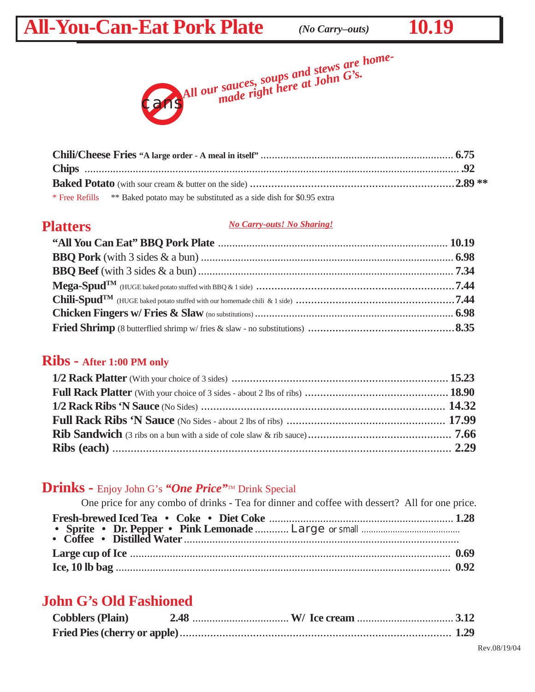## All-You-Can-Eat Pork Plate (No Carry-outs) 10.19





| * Free Refills ** Baked potato may be substituted as a side dish for \$0.95 extra |  |
|-----------------------------------------------------------------------------------|--|

#### **Platters**

#### *No Carry-outs! No Sharing!*

#### **Ribs - After 1:00 PM only**

#### Drinks - Enjoy John G's "One Price"<sup>TM</sup> Drink Special

| One price for any combo of drinks - Tea for dinner and coffee with dessert? All for one price. |  |
|------------------------------------------------------------------------------------------------|--|
|                                                                                                |  |
|                                                                                                |  |
|                                                                                                |  |
|                                                                                                |  |
|                                                                                                |  |

#### **John G's Old Fashioned**

| <b>Cobblers (Plain)</b> |  |  |
|-------------------------|--|--|
|                         |  |  |